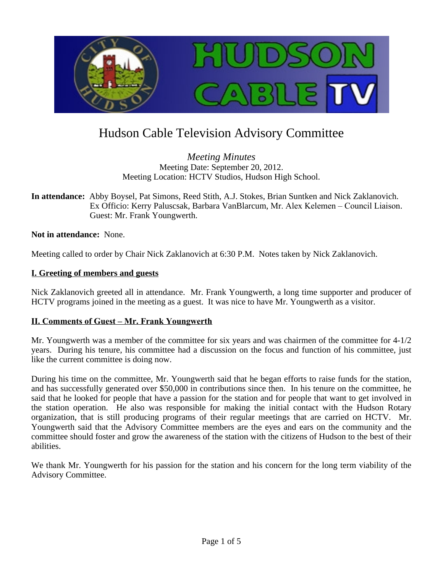

# Hudson Cable Television Advisory Committee

*Meeting Minutes* Meeting Date: September 20, 2012. Meeting Location: HCTV Studios, Hudson High School.

**In attendance:** Abby Boysel, Pat Simons, Reed Stith, A.J. Stokes, Brian Suntken and Nick Zaklanovich. Ex Officio: Kerry Paluscsak, Barbara VanBlarcum, Mr. Alex Kelemen – Council Liaison. Guest: Mr. Frank Youngwerth.

**Not in attendance:** None.

Meeting called to order by Chair Nick Zaklanovich at 6:30 P.M. Notes taken by Nick Zaklanovich.

## **I. Greeting of members and guests**

Nick Zaklanovich greeted all in attendance. Mr. Frank Youngwerth, a long time supporter and producer of HCTV programs joined in the meeting as a guest. It was nice to have Mr. Youngwerth as a visitor.

## **II. Comments of Guest – Mr. Frank Youngwerth**

Mr. Youngwerth was a member of the committee for six years and was chairmen of the committee for  $4-1/2$ years. During his tenure, his committee had a discussion on the focus and function of his committee, just like the current committee is doing now.

During his time on the committee, Mr. Youngwerth said that he began efforts to raise funds for the station, and has successfully generated over \$50,000 in contributions since then. In his tenure on the committee, he said that he looked for people that have a passion for the station and for people that want to get involved in the station operation. He also was responsible for making the initial contact with the Hudson Rotary organization, that is still producing programs of their regular meetings that are carried on HCTV. Mr. Youngwerth said that the Advisory Committee members are the eyes and ears on the community and the committee should foster and grow the awareness of the station with the citizens of Hudson to the best of their abilities.

We thank Mr. Youngwerth for his passion for the station and his concern for the long term viability of the Advisory Committee.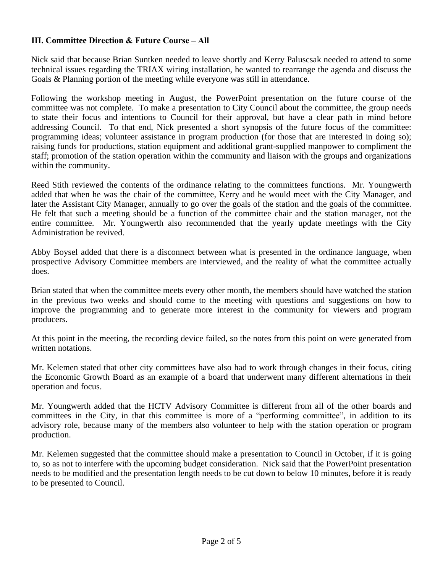# **III. Committee Direction & Future Course – All**

Nick said that because Brian Suntken needed to leave shortly and Kerry Paluscsak needed to attend to some technical issues regarding the TRIAX wiring installation, he wanted to rearrange the agenda and discuss the Goals & Planning portion of the meeting while everyone was still in attendance.

Following the workshop meeting in August, the PowerPoint presentation on the future course of the committee was not complete. To make a presentation to City Council about the committee, the group needs to state their focus and intentions to Council for their approval, but have a clear path in mind before addressing Council. To that end, Nick presented a short synopsis of the future focus of the committee: programming ideas; volunteer assistance in program production (for those that are interested in doing so); raising funds for productions, station equipment and additional grant-supplied manpower to compliment the staff; promotion of the station operation within the community and liaison with the groups and organizations within the community.

Reed Stith reviewed the contents of the ordinance relating to the committees functions. Mr. Youngwerth added that when he was the chair of the committee, Kerry and he would meet with the City Manager, and later the Assistant City Manager, annually to go over the goals of the station and the goals of the committee. He felt that such a meeting should be a function of the committee chair and the station manager, not the entire committee. Mr. Youngwerth also recommended that the yearly update meetings with the City Administration be revived.

Abby Boysel added that there is a disconnect between what is presented in the ordinance language, when prospective Advisory Committee members are interviewed, and the reality of what the committee actually does.

Brian stated that when the committee meets every other month, the members should have watched the station in the previous two weeks and should come to the meeting with questions and suggestions on how to improve the programming and to generate more interest in the community for viewers and program producers.

At this point in the meeting, the recording device failed, so the notes from this point on were generated from written notations.

Mr. Kelemen stated that other city committees have also had to work through changes in their focus, citing the Economic Growth Board as an example of a board that underwent many different alternations in their operation and focus.

Mr. Youngwerth added that the HCTV Advisory Committee is different from all of the other boards and committees in the City, in that this committee is more of a "performing committee", in addition to its advisory role, because many of the members also volunteer to help with the station operation or program production.

Mr. Kelemen suggested that the committee should make a presentation to Council in October, if it is going to, so as not to interfere with the upcoming budget consideration. Nick said that the PowerPoint presentation needs to be modified and the presentation length needs to be cut down to below 10 minutes, before it is ready to be presented to Council.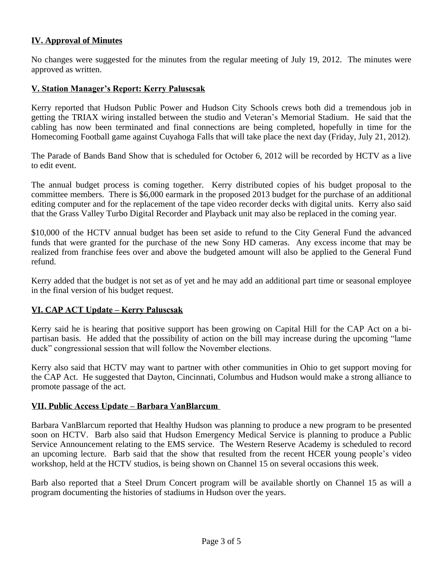# **IV. Approval of Minutes**

No changes were suggested for the minutes from the regular meeting of July 19, 2012. The minutes were approved as written.

## **V. Station Manager's Report: Kerry Paluscsak**

Kerry reported that Hudson Public Power and Hudson City Schools crews both did a tremendous job in getting the TRIAX wiring installed between the studio and Veteran's Memorial Stadium. He said that the cabling has now been terminated and final connections are being completed, hopefully in time for the Homecoming Football game against Cuyahoga Falls that will take place the next day (Friday, July 21, 2012).

The Parade of Bands Band Show that is scheduled for October 6, 2012 will be recorded by HCTV as a live to edit event.

The annual budget process is coming together. Kerry distributed copies of his budget proposal to the committee members. There is \$6,000 earmark in the proposed 2013 budget for the purchase of an additional editing computer and for the replacement of the tape video recorder decks with digital units. Kerry also said that the Grass Valley Turbo Digital Recorder and Playback unit may also be replaced in the coming year.

\$10,000 of the HCTV annual budget has been set aside to refund to the City General Fund the advanced funds that were granted for the purchase of the new Sony HD cameras. Any excess income that may be realized from franchise fees over and above the budgeted amount will also be applied to the General Fund refund.

Kerry added that the budget is not set as of yet and he may add an additional part time or seasonal employee in the final version of his budget request.

## **VI. CAP ACT Update – Kerry Paluscsak**

Kerry said he is hearing that positive support has been growing on Capital Hill for the CAP Act on a bipartisan basis. He added that the possibility of action on the bill may increase during the upcoming "lame duck" congressional session that will follow the November elections.

Kerry also said that HCTV may want to partner with other communities in Ohio to get support moving for the CAP Act. He suggested that Dayton, Cincinnati, Columbus and Hudson would make a strong alliance to promote passage of the act.

#### **VII. Public Access Update – Barbara VanBlarcum**

Barbara VanBlarcum reported that Healthy Hudson was planning to produce a new program to be presented soon on HCTV. Barb also said that Hudson Emergency Medical Service is planning to produce a Public Service Announcement relating to the EMS service. The Western Reserve Academy is scheduled to record an upcoming lecture. Barb said that the show that resulted from the recent HCER young people's video workshop, held at the HCTV studios, is being shown on Channel 15 on several occasions this week.

Barb also reported that a Steel Drum Concert program will be available shortly on Channel 15 as will a program documenting the histories of stadiums in Hudson over the years.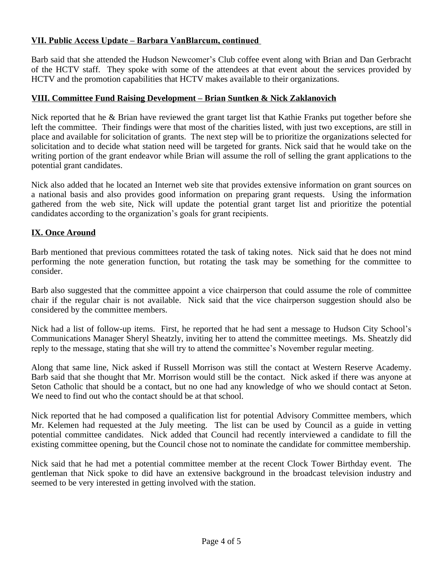# **VII. Public Access Update – Barbara VanBlarcum, continued**

Barb said that she attended the Hudson Newcomer's Club coffee event along with Brian and Dan Gerbracht of the HCTV staff. They spoke with some of the attendees at that event about the services provided by HCTV and the promotion capabilities that HCTV makes available to their organizations.

## **VIII. Committee Fund Raising Development – Brian Suntken & Nick Zaklanovich**

Nick reported that he & Brian have reviewed the grant target list that Kathie Franks put together before she left the committee. Their findings were that most of the charities listed, with just two exceptions, are still in place and available for solicitation of grants. The next step will be to prioritize the organizations selected for solicitation and to decide what station need will be targeted for grants. Nick said that he would take on the writing portion of the grant endeavor while Brian will assume the roll of selling the grant applications to the potential grant candidates.

Nick also added that he located an Internet web site that provides extensive information on grant sources on a national basis and also provides good information on preparing grant requests. Using the information gathered from the web site, Nick will update the potential grant target list and prioritize the potential candidates according to the organization's goals for grant recipients.

## **IX. Once Around**

Barb mentioned that previous committees rotated the task of taking notes. Nick said that he does not mind performing the note generation function, but rotating the task may be something for the committee to consider.

Barb also suggested that the committee appoint a vice chairperson that could assume the role of committee chair if the regular chair is not available. Nick said that the vice chairperson suggestion should also be considered by the committee members.

Nick had a list of follow-up items. First, he reported that he had sent a message to Hudson City School's Communications Manager Sheryl Sheatzly, inviting her to attend the committee meetings. Ms. Sheatzly did reply to the message, stating that she will try to attend the committee's November regular meeting.

Along that same line, Nick asked if Russell Morrison was still the contact at Western Reserve Academy. Barb said that she thought that Mr. Morrison would still be the contact. Nick asked if there was anyone at Seton Catholic that should be a contact, but no one had any knowledge of who we should contact at Seton. We need to find out who the contact should be at that school.

Nick reported that he had composed a qualification list for potential Advisory Committee members, which Mr. Kelemen had requested at the July meeting. The list can be used by Council as a guide in vetting potential committee candidates. Nick added that Council had recently interviewed a candidate to fill the existing committee opening, but the Council chose not to nominate the candidate for committee membership.

Nick said that he had met a potential committee member at the recent Clock Tower Birthday event. The gentleman that Nick spoke to did have an extensive background in the broadcast television industry and seemed to be very interested in getting involved with the station.